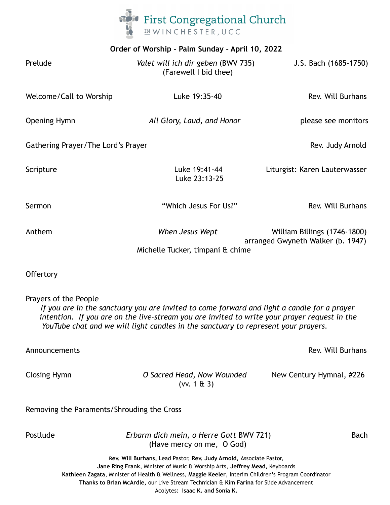

| Order of Worship - Palm Sunday - April 10, 2022 |                                                                                                                                                                                                                                                                                   |                                                                   |
|-------------------------------------------------|-----------------------------------------------------------------------------------------------------------------------------------------------------------------------------------------------------------------------------------------------------------------------------------|-------------------------------------------------------------------|
| Prelude                                         | Valet will ich dir geben (BWV 735)<br>(Farewell I bid thee)                                                                                                                                                                                                                       | J.S. Bach (1685-1750)                                             |
| Welcome/Call to Worship                         | Luke 19:35-40                                                                                                                                                                                                                                                                     | Rev. Will Burhans                                                 |
| <b>Opening Hymn</b>                             | All Glory, Laud, and Honor                                                                                                                                                                                                                                                        | please see monitors                                               |
| Gathering Prayer/The Lord's Prayer              |                                                                                                                                                                                                                                                                                   | Rev. Judy Arnold                                                  |
| Scripture                                       | Luke 19:41-44<br>Luke 23:13-25                                                                                                                                                                                                                                                    | Liturgist: Karen Lauterwasser                                     |
| Sermon                                          | "Which Jesus For Us?"                                                                                                                                                                                                                                                             | Rev. Will Burhans                                                 |
| Anthem                                          | When Jesus Wept<br>Michelle Tucker, timpani & chime                                                                                                                                                                                                                               | William Billings (1746-1800)<br>arranged Gwyneth Walker (b. 1947) |
| Offertory                                       |                                                                                                                                                                                                                                                                                   |                                                                   |
| Prayers of the People                           | If you are in the sanctuary you are invited to come forward and light a candle for a prayer<br>intention. If you are on the live-stream you are invited to write your prayer request in the<br>YouTube chat and we will light candles in the sanctuary to represent your prayers. |                                                                   |

Announcements **Rev. Will Burhans** 

Closing Hymn *O Sacred Head, Now Wounded* New Century Hymnal, #226 (vv. 1 & 3)

Removing the Paraments/Shrouding the Cross

Postlude *Erbarm dich mein, o Herre Gott* BWV 721) Bach (Have mercy on me, O God)

**Rev. Will Burhans,** Lead Pastor, **Rev. Judy Arnold,** Associate Pastor, **Jane Ring Frank,** Minister of Music & Worship Arts, **Jeffrey Mead,** Keyboards **Kathleen Zagata**, Minister of Health & Wellness, **Maggie Keeler**, Interim Children's Program Coordinator **Thanks to Brian McArdle,** our Live Stream Technician & **Kim Farina** for Slide Advancement Acolytes: **Isaac K. and Sonia K.**